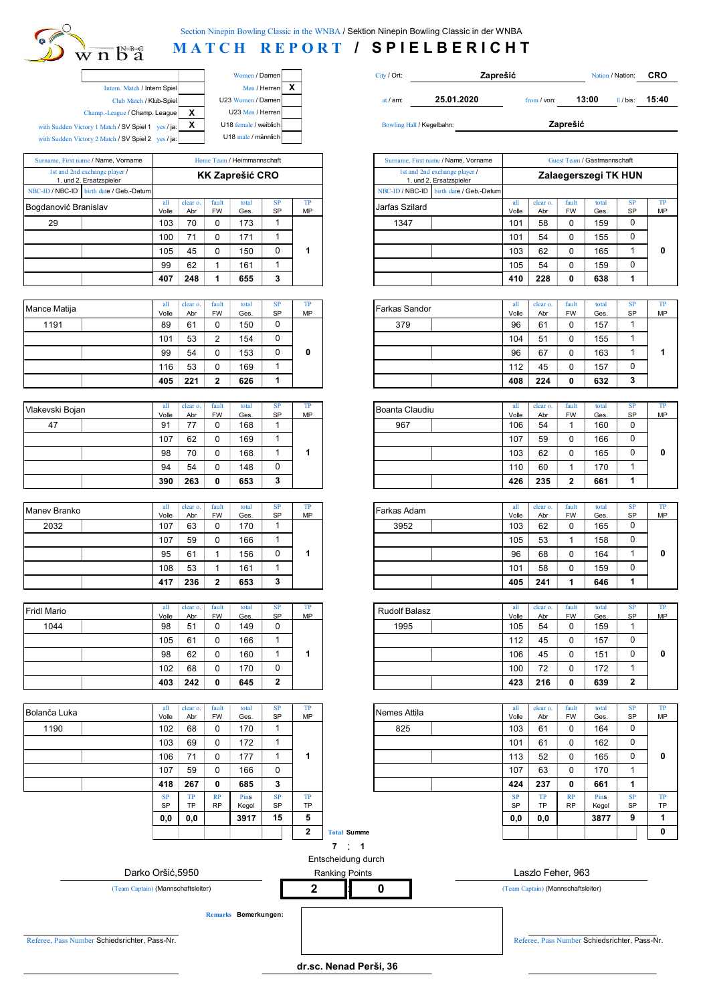## $\sqrt[n]{n}$  b<sup>\*</sup>a

**MATCH REPORT / SPIELBERICHT** 

|                                                    |                       |                       | Women / Damen<br>City / Ort: |            |                           |  |
|----------------------------------------------------|-----------------------|-----------------------|------------------------------|------------|---------------------------|--|
| Intern. Match / Intern Spiel                       |                       | Men / Herren          |                              |            |                           |  |
| Club Match / Klub-Spiel                            |                       | U23 Women / Damen     |                              | at $/$ am: | $25.0^{\circ}$            |  |
| Champ.-League / Champ. League                      | x<br>U23 Men / Herren |                       |                              |            |                           |  |
| with Sudden Victory 1 Match / SV Spiel 1 yes / ja: | x                     | U18 female / weiblich |                              |            | Bowling Hall / Kegelbahn: |  |
| with Sudden Victory 2 Match / SV Spiel 2 yes / ja: |                       | U18 male / männlich   |                              |            |                           |  |

|                      | Surname, First name / Name, Vorname                      |              |                 |                    | Home Team / Heimmannschaft |                 |          |                | Surname, First name / Name, Vorname                      |              |                 |                    | Guest Team / Gastmannschaft |   |
|----------------------|----------------------------------------------------------|--------------|-----------------|--------------------|----------------------------|-----------------|----------|----------------|----------------------------------------------------------|--------------|-----------------|--------------------|-----------------------------|---|
|                      | 1st and 2nd exchange player /<br>1. und 2. Ersatzspieler |              |                 |                    | <b>KK Zaprešić CRO</b>     |                 |          |                | 1st and 2nd exchange player /<br>1. und 2. Ersatzspieler |              |                 |                    | Zalaegerszegi TK HU         |   |
|                      | NBC-ID / NBC-ID birth date / Geb.-Datum                  |              |                 |                    |                            |                 |          |                | NBC-ID / NBC-ID birth date / Geb.-Datum                  |              |                 |                    |                             |   |
| Bogdanović Branislav |                                                          | all<br>Volle | clear o.<br>Abr | fault<br><b>FW</b> | total<br>Ges.              | SP<br><b>SP</b> | ТP<br>MP | Jarfas Szilard |                                                          | all<br>Volle | clear o.<br>Abr | fault<br><b>FW</b> | total<br>Ges.               | S |
| 29                   |                                                          | 103          | 70              |                    | 173                        |                 |          | 1347           |                                                          | 101          | 58              |                    | 159                         |   |
|                      |                                                          | 100          | 71              |                    | 171                        |                 |          |                |                                                          | 101          | 54              |                    | 155                         |   |
|                      |                                                          | 105          | 45              |                    | 150                        |                 |          |                |                                                          | 103          | 62              |                    | 165                         |   |
|                      |                                                          | 99           | 62              |                    | 161                        |                 |          |                |                                                          | 105          | 54              |                    | 159                         |   |
|                      |                                                          | 407          | 248             |                    | 655                        |                 |          |                |                                                          | 410          | 228             |                    | 638                         |   |

| Mance Matija | all   | clear o. | fault     | total | <b>SP</b> | TP | Farkas Sandor | all   | clear o. | fault     | total |
|--------------|-------|----------|-----------|-------|-----------|----|---------------|-------|----------|-----------|-------|
|              | Volle | Abr      | <b>FW</b> | Ges.  | SP        | MP |               | Volle | Abr      | <b>FW</b> | Ges.  |
| 1191         | 89    | 61       |           | 150   | υ         |    | 379           | 96    | 61       | ∩<br>v    | 157   |
|              | 101   | 53       |           | 154   | ∩<br>ν    |    |               | 104   | 51       | C<br>ັ    | 155   |
|              | 99    | 54       |           | 153   | ν         | 0  |               | 96    | 67       | ν         | 163   |
|              | 116   | 53       |           | 169   |           |    |               | 12    | 45       | ∩<br>v    | 157   |
|              | 405   | 221      |           | 626   |           |    |               | 408   | 224      | 0         | 632   |

| Vlakevski Bojan | all   | clear o. | fault     | total | <b>SP</b> | TP | Boanta Claudiu | all   | clear o. | fault     | total |
|-----------------|-------|----------|-----------|-------|-----------|----|----------------|-------|----------|-----------|-------|
|                 | Volle | Abr      | <b>FW</b> | Ges.  | SP        | MP |                | Volle | Abr      | <b>FW</b> | Ges.  |
| 47              | 91    |          |           | 168   |           |    | 967            | 106   | 54       |           | 160   |
|                 | 107   | 62       |           | 169   |           |    |                | 107   | 59       | v         | 166   |
|                 | 98    | 70       |           | 168   |           |    |                | 103   | 62       | v         | 165   |
|                 | 94    | 54       |           | 148   | ν         |    |                | 10    | 60       |           | 170   |
|                 | 390   | 263      |           | 653   | ໍ<br>J    |    |                | 426   | 235      | ົ         | 661   |

| Maney Branko | all   | clear o. | fault     | total | <b>SP</b> | TP | Farkas Adam | all   | clear o. | fault     | total |
|--------------|-------|----------|-----------|-------|-----------|----|-------------|-------|----------|-----------|-------|
|              | Volle | Abr      | <b>FW</b> | Ges.  | SP        | MP |             | Volle | Abr      | <b>FW</b> | Ges.  |
| 2032         | 107   | 63       |           | 170   |           |    | 3952        | 103   | 62       | ∩<br>ν    | 165   |
|              | 107   | 59       |           | 166   |           |    |             | 105   | 53       |           | 158   |
|              | 95    | 61       |           | 156   | 0         |    |             | 96    | 68       | ∩<br>ν    | 164   |
|              | 108   | 53       |           | 161   |           |    |             | 101   | 58       | ∩<br>ν    | 159   |
|              | 417   | 236      |           | 653   | 3         |    |             | 405   | 241      |           | 646   |

| <b>Fridl Mario</b> | all<br>Volle | clear o.<br>Abr | fault<br><b>FW</b> | total<br>Ges. | <b>SP</b><br>SP | TP<br>MP | <b>Rudolf Balasz</b> | all<br>Volle | clear o.<br>Abr | fault<br><b>FW</b> | total<br>Ges. |
|--------------------|--------------|-----------------|--------------------|---------------|-----------------|----------|----------------------|--------------|-----------------|--------------------|---------------|
| 1044               | 98           | 51              |                    | 149           | ∩<br>υ          |          | 1995                 | 105          | 54              | $\Omega$<br>v      | 159           |
|                    | 105          | 61              |                    | 166           |                 |          |                      | 12           | 45              | $\Omega$<br>ν      | 157           |
|                    | 98           | 62              |                    | 160           |                 |          |                      | 106          | 45              | U<br>ν             | 151           |
|                    | 102          | 68              |                    | 170           | 0               |          |                      | 100          | 72              | ∩<br>υ             | 172           |
|                    | 403          | 242             |                    | 645           | 2               |          |                      | 423          | 216             | 0                  | 639           |

| Bolanča Luka | all       | clear o.  | fault     | total | <b>SP</b>   | <b>TP</b> | Nemes Attila | all       | clear o.  | fault     | total |
|--------------|-----------|-----------|-----------|-------|-------------|-----------|--------------|-----------|-----------|-----------|-------|
|              | Volle     | Abr       | <b>FW</b> | Ges.  | SP          | MP        |              | Volle     | Abr       | <b>FW</b> | Ges.  |
| 1190         | 102       | 68        |           | 170   |             |           | 825          | 103       | 61        | 0         | 164   |
|              | 103       | 69        |           | 172   |             |           |              | 101       | 61        | 0         | 162   |
|              | 106       | 71        |           | 177   |             |           |              | 113       | 52        | 0         | 165   |
|              | 107       | 59        |           | 166   | $\mathbf 0$ |           |              | 107       | 63        | 0         | 170   |
|              | 418       | 267       | 0         | 685   | 3           |           |              | 424       | 237       | 0         | 661   |
|              | <b>SP</b> | TP        | RP        | Pins  | <b>SP</b>   | TP        |              | <b>SP</b> | TP        | RP        | Pins  |
|              | <b>SP</b> | <b>TP</b> | <b>RP</b> | Kegel | SP          | <b>TP</b> |              | <b>SP</b> | <b>TP</b> | <b>RP</b> | Kege  |
|              | 0,0       | 0.0       |           | 3917  | 15          | 5         |              | 0,0       | 0,0       |           | 387   |

|                               |   | Women / Damen              | City / Ort: |                                                          | Zaprešić    |                             | Nation / Nation: | CRO   |
|-------------------------------|---|----------------------------|-------------|----------------------------------------------------------|-------------|-----------------------------|------------------|-------|
| ern. Match / Intern Spiel     |   | Men / Herren               |             |                                                          |             |                             |                  |       |
| Club Match / Klub-Spiel       |   | U23 Women / Damen          | at $/$ am:  | 25.01.2020                                               | from / von: | 13:00                       | $1/$ bis:        | 15:40 |
| ague / Champ. League          | х | U23 Men / Herren           |             |                                                          |             |                             |                  |       |
| $h / SV$ Spiel 1 $ves / ja$ : | x | U18 female / weiblich      |             | Bowling Hall / Kegelbahn:                                |             | Zaprešić                    |                  |       |
| $h / SV$ Spiel 2 $ves / ja$ : |   | U18 male / männlich        |             |                                                          |             |                             |                  |       |
|                               |   |                            |             |                                                          |             |                             |                  |       |
| Vorname                       |   | Home Team / Heimmannschaft |             | Surname, First name / Name, Vorname                      |             | Guest Team / Gastmannschaft |                  |       |
| ayer /<br>ler:                |   | <b>KK Zaprešić CRO</b>     |             | 1st and 2nd exchange player /<br>1. und 2. Ersatzspieler |             | Zalaegerszegi TK HUN        |                  |       |

|              |                 |                          |               |                    |           | NBC-ID / NBC-ID   birth date / Geb.-Datum |              |                 |                           |               |                 |                 |
|--------------|-----------------|--------------------------|---------------|--------------------|-----------|-------------------------------------------|--------------|-----------------|---------------------------|---------------|-----------------|-----------------|
| all<br>Volle | clear o.<br>Abr | fault<br><b>FW</b>       | total<br>Ges. | <b>SP</b><br>SP    | TP<br>MP  | Jarfas Szilard                            | all<br>Volle | clear o.<br>Abr | fault<br><b>FW</b>        | total<br>Ges. | <b>SP</b><br>SP | TP<br><b>MP</b> |
| 103          | 70              | $\mathbf 0$              | 173           | $\mathbf{1}$       |           | 1347                                      | 101          | 58              | $\Omega$                  | 159           | 0               |                 |
| 100          | 71              | $\mathbf 0$              | 171           | $\mathbf{1}$       |           |                                           | 101          | 54              | 0                         | 155           | 0               |                 |
| 105          | 45              | $\mathbf 0$              | 150           | 0                  | 1         |                                           | 103          | 62              | 0                         | 165           | 1               | 0               |
| 99           | 62              | $\mathbf{1}$             | 161           | $\mathbf{1}$       |           |                                           | 105          | 54              | $\mathbf 0$               | 159           | 0               |                 |
| 407          | 248             | 1                        | 655           | 3                  |           |                                           | 410          | 228             | 0                         | 638           | 1               |                 |
|              |                 |                          |               |                    |           |                                           |              |                 |                           |               |                 |                 |
| all<br>Volle | clear o.<br>Abr | fault<br><b>FW</b>       | total<br>Ges. | <b>SP</b><br>SP    | TP<br>MP  | Farkas Sandor                             | all<br>Volle | clear o.<br>Abr | fault<br><b>FW</b>        | total<br>Ges. | <b>SP</b><br>SP | TP<br>MP        |
| 89           | 61              | $\Omega$                 | 150           | 0                  |           | 379                                       | 96           | 61              | $\Omega$                  | 157           | $\mathbf{1}$    |                 |
| 101          | 53              | 2                        | 154           | 0                  |           |                                           | 104          | 51              | $\Omega$                  | 155           | 1               |                 |
| 99           | 54              | $\mathbf 0$              | 153           | 0                  | 0         |                                           | 96           | 67              | $\Omega$                  | 163           | $\mathbf{1}$    | 1               |
| 116          | 53              | $\mathbf 0$              | 169           | $\mathbf{1}$       |           |                                           | 112          | 45              | $\mathbf 0$               | 157           | 0               |                 |
| 405          | 221             | 2                        | 626           | 1                  |           |                                           | 408          | 224             | 0                         | 632           | 3               |                 |
|              |                 |                          |               |                    |           |                                           |              |                 |                           |               |                 |                 |
|              |                 |                          |               |                    |           |                                           |              |                 |                           |               |                 |                 |
| all          | clear o.        | fault                    | total         | SP                 | TP        | Boanta Claudiu                            | all          | clear o.        | fault                     | total         | <b>SP</b>       | TP              |
| Volle<br>91  | Abr<br>77       | <b>FW</b><br>0           | Ges.<br>168   | SP<br>$\mathbf{1}$ | MP        | 967                                       | Volle<br>106 | Abr<br>54       | <b>FW</b><br>$\mathbf{1}$ | Ges.<br>160   | SP<br>0         | MP              |
| 107          | 62              | $\mathbf 0$              | 169           | $\mathbf{1}$       |           |                                           | 107          | 59              | 0                         | 166           | 0               |                 |
| 98           | 70              | $\Omega$                 | 168           | $\mathbf{1}$       | 1         |                                           | 103          | 62              | $\Omega$                  | 165           | 0               | 0               |
| 94           | 54              | $\mathbf 0$              | 148           | 0                  |           |                                           | 110          | 60              | $\mathbf{1}$              | 170           | 1               |                 |
| 390          | 263             | $\mathbf 0$              | 653           | 3                  |           |                                           | 426          | 235             | $\overline{2}$            | 661           | 1               |                 |
|              |                 |                          |               |                    |           |                                           |              |                 |                           |               |                 |                 |
| all          | clear o.        | fault                    | total         | <b>SP</b>          | <b>TP</b> | Farkas Adam                               | all          | clear o.        | fault                     | total         | <b>SP</b>       | TP              |
| Volle<br>107 | Abr<br>63       | <b>FW</b><br>$\mathbf 0$ | Ges.<br>170   | SP<br>1            | MP        | 3952                                      | Volle<br>103 | Abr<br>62       | FW<br>$\mathbf 0$         | Ges.<br>165   | SP<br>0         | MP              |
| 107          | 59              | $\mathbf 0$              | 166           | 1                  |           |                                           | 105          | 53              | $\mathbf{1}$              | 158           | 0               |                 |
| 95           | 61              | $\mathbf{1}$             | 156           | 0                  | 1         |                                           | 96           | 68              | $\Omega$                  | 164           | 1               | 0               |
| 108          | 53              | 1                        | 161           | 1                  |           |                                           | 101          | 58              | 0                         | 159           | 0               |                 |

| all         | clear o.  | fault          | total       | <b>SP</b> | TP | <b>Rudolf Balasz</b> | all          | clear o.  | fault          | total       | <b>SP</b> | TP |
|-------------|-----------|----------------|-------------|-----------|----|----------------------|--------------|-----------|----------------|-------------|-----------|----|
| Volle<br>98 | Abr<br>51 | <b>FW</b><br>u | Ges.<br>149 | SP<br>0   | MP | 1995                 | Volle<br>105 | Abr<br>54 | <b>FW</b><br>0 | Ges.<br>159 | SP        | MP |
| 105         | 61        | u              | 166         |           |    |                      | 112          | 45        | 0              | 157         | 0         |    |
| 98          | 62        | 0              | 160         |           |    |                      | 106          | 45        | 0              | 151         | 0         |    |
| 102         | 68        | 0              | 170         |           |    |                      | 100          | 72        | 0              | 172         |           |    |
| 403         | 242       | 0              | 645         | ◠         |    |                      | 423          | 216       |                | 639         | ີ         |    |

| all<br>Volle | clear o.<br>Abr | fault<br><b>FW</b> | total<br>Ges. | <b>SP</b><br><b>SP</b> | TP<br>MP     |                    | Nemes Attila | all<br>Volle | clear o.<br>Abr | fault<br><b>FW</b> | total<br>Ges. | <b>SP</b><br>SP | TP<br>MP |
|--------------|-----------------|--------------------|---------------|------------------------|--------------|--------------------|--------------|--------------|-----------------|--------------------|---------------|-----------------|----------|
| 102          | 68              | 0                  | 170           |                        |              |                    | 825          | 103          | 61              | 0                  | 164           | 0               |          |
| 103          | 69              | 0                  | 172           |                        |              |                    |              | 101          | 61              | $\Omega$           | 162           | 0               |          |
| 106          | 71              | 0                  | 177           |                        |              |                    |              | 113          | 52              | $\Omega$           | 165           | 0               | 0        |
| 107          | 59              | 0                  | 166           | 0                      |              |                    |              | 107          | 63              | 0                  | 170           | 4               |          |
| 418          | 267             | 0                  | 685           | 3                      |              |                    |              | 424          | 237             | 0                  | 661           | 1               |          |
| <b>SP</b>    | TP              | <b>RP</b>          | <b>Pins</b>   | <b>SP</b>              | TP           |                    |              | <b>SP</b>    | TP              | RP                 | Pins          | <b>SP</b>       | TP       |
| SP           | TP              | <b>RP</b>          | Kegel         | SP                     | TP           |                    |              | SP           | <b>TP</b>       | <b>RP</b>          | Kegel         | SP              | TP       |
| 0,0          | 0,0             |                    | 3917          | 15                     | 5            |                    |              | 0,0          | 0,0             |                    | 3877          | 9               |          |
|              |                 |                    |               |                        | $\mathbf{2}$ | <b>Total Summe</b> |              |              |                 |                    |               |                 | 0        |



**2 0**





(Team Captain) (Mannschaftsleiter) : (Team Captain) (Mannschaftsleiter)

**Remarks Bemerkungen:**

**dr.sc. Nenad Perši, 36**

Referee, Pass Number Schiedsrichter, Pass-Nr. Referee, Pass Number Schiedsrichter, Pass-Nr. Referee, Pass Number Schiedsrichter, Pass-Nr.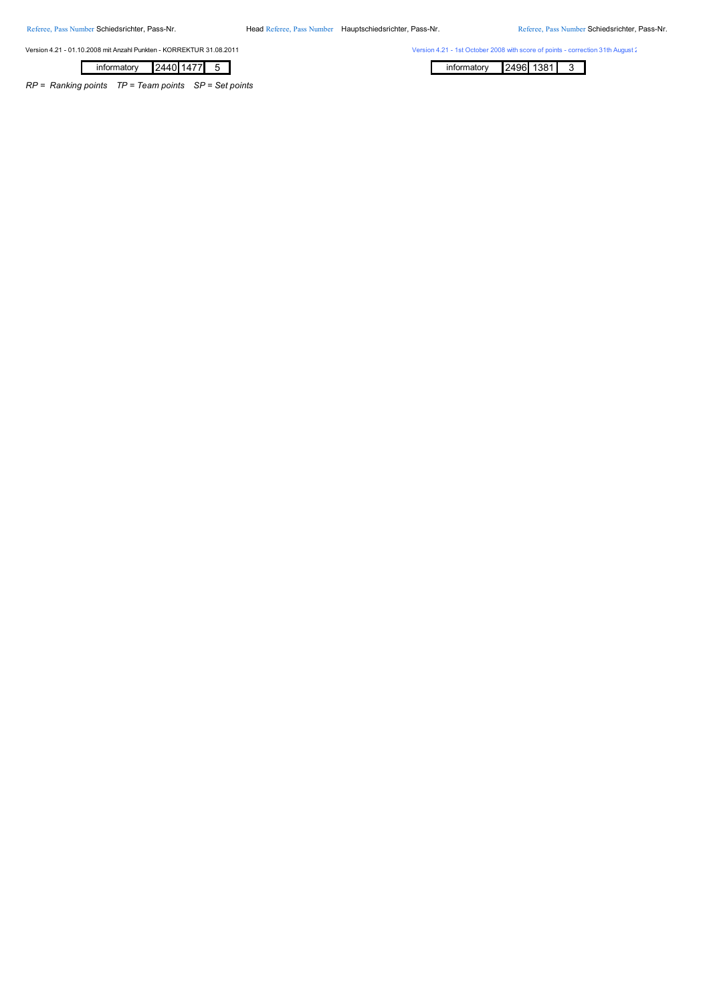Referee, Pass Number Schiedsrichter, Pass-Nr. Head Referee, Pass Number Hauptschiedsrichter, Pass-Nr. Referee, Pass Number Schiedsrichter, Pass-Nr.

Version 4.21 - 01.10.2008 mit Anzahl Punkten - KORREKTUR 31.08.2011 Version 4.21 - 1st October 2008 with score of points - correction 31th August 2011

|--|

*RP = Ranking points TP = Team points SP = Set points*

informatory 2496 1381 3 informatory